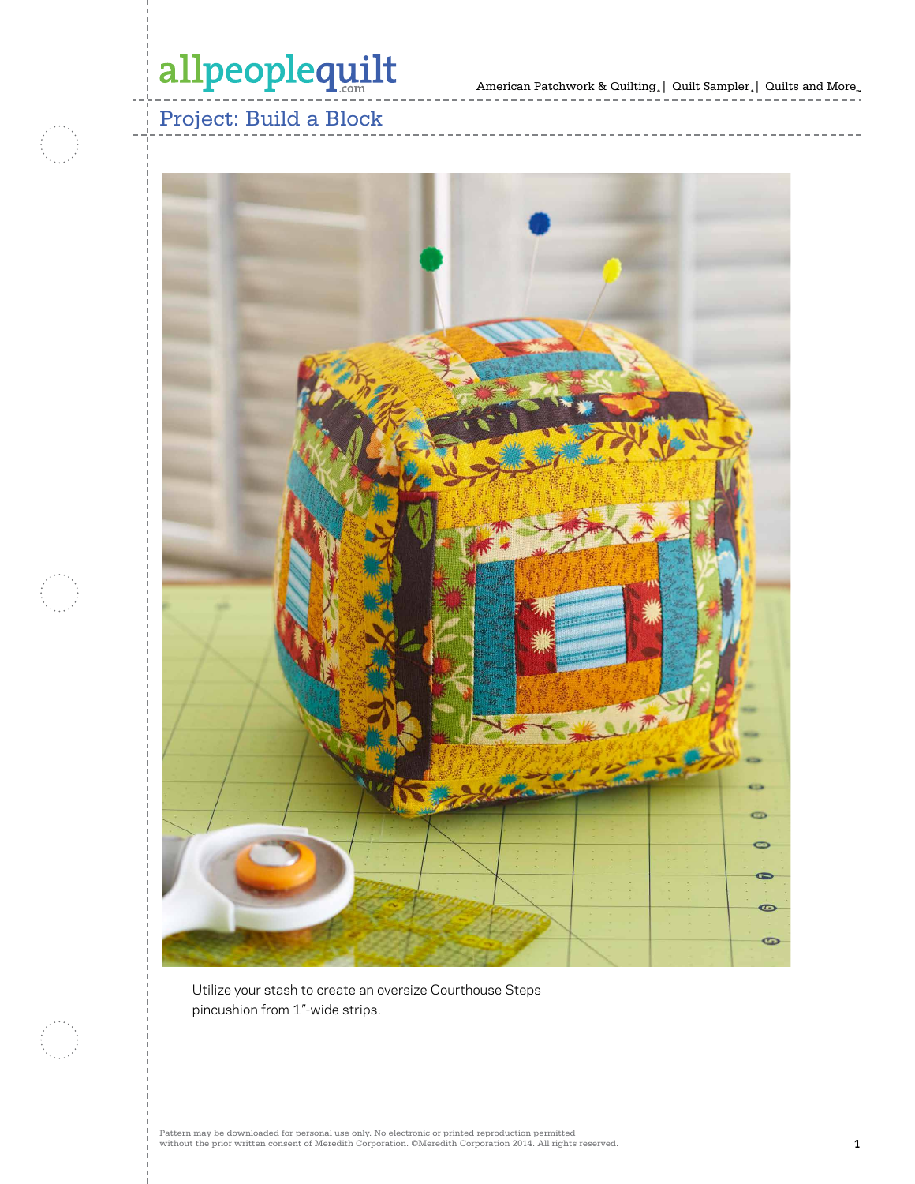# allpeoplequilt

American Patchwork & Quilting,  $|$  Quilt Sampler,  $|$  Quilts and More $_{\textrm{\tiny{m}}}$ 

## Project: Build a Block



Utilize your stash to create an oversize Courthouse Steps pincushion from 1"-wide strips.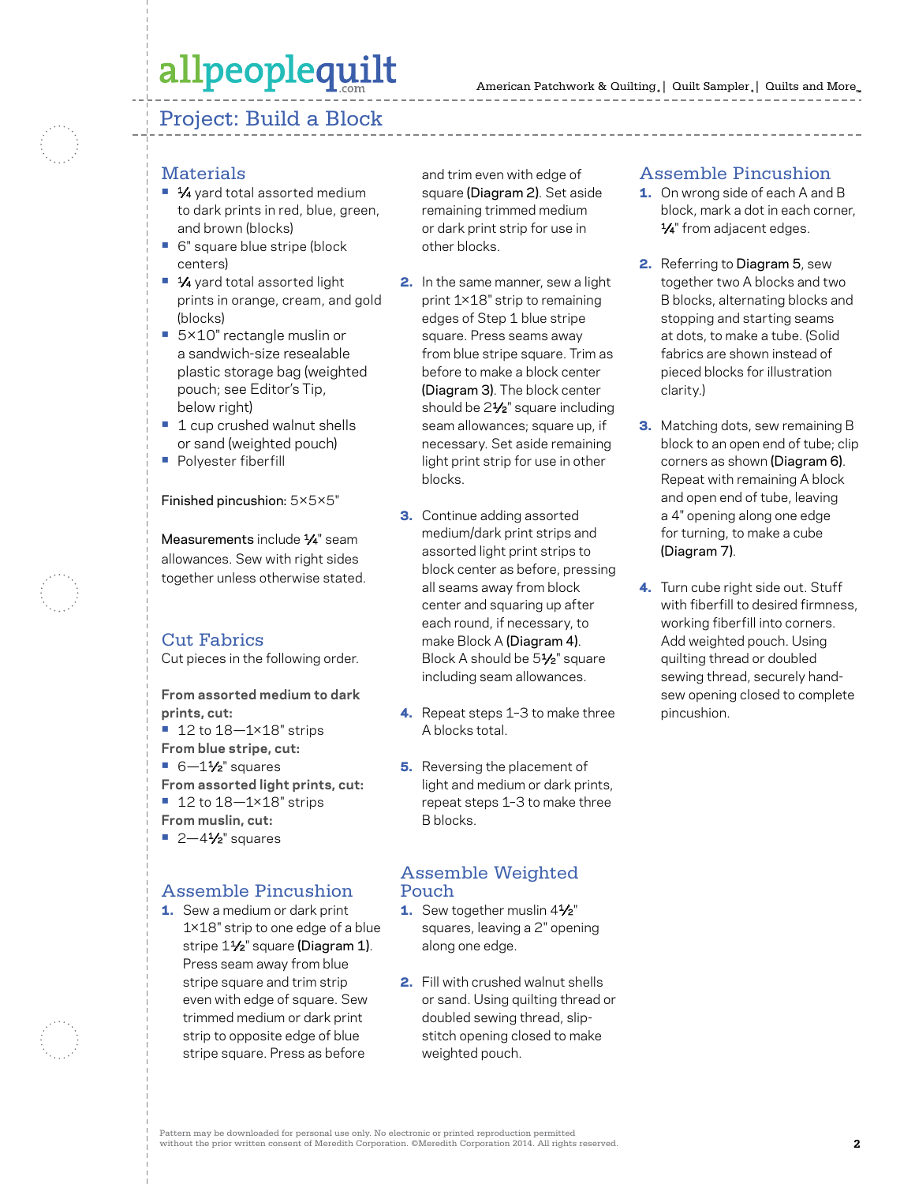## allpeoplequilt

### Project: Build a Block

#### **Materials**

- 1⁄4 yard total assorted medium to dark prints in red, blue, green, and brown (blocks)
- **•** 6" square blue stripe (block centers)
- 1⁄4 yard total assorted light prints in orange, cream, and gold (blocks)
- **•** 5×10" rectangle muslin or a sandwich-size resealable plastic storage bag (weighted pouch; see Editor's Tip, below right)
- 1 cup crushed walnut shells or sand (weighted pouch)
- **•** Polyester fiberfill

Finished pincushion: 5×5×5"

Measurements include 1/4" seam allowances. Sew with right sides together unless otherwise stated.

### Cut Fabrics

Cut pieces in the following order.

**From assorted medium to dark prints, cut:**

- **•** 12 to 18—1×18" strips
- **From blue stripe, cut:**
- **•** 6-11⁄2" squares
- **From assorted light prints, cut:**
- **•** 12 to 18—1×18" strips
- **From muslin, cut:**
- **•** 2—41⁄2" squares

#### Assemble Pincushion

1. Sew a medium or dark print 1×18" strip to one edge of a blue stripe 11/<sub>2</sub>" square (Diagram 1). Press seam away from blue stripe square and trim strip even with edge of square. Sew trimmed medium or dark print strip to opposite edge of blue stripe square. Press as before

and trim even with edge of square (Diagram 2). Set aside remaining trimmed medium or dark print strip for use in other blocks.

- 2. In the same manner, sew a light print 1×18" strip to remaining edges of Step 1 blue stripe square. Press seams away from blue stripe square. Trim as before to make a block center (Diagram 3). The block center should be 2<sup>1/2"</sup> square including seam allowances; square up, if necessary. Set aside remaining light print strip for use in other blocks.
- 3. Continue adding assorted medium/dark print strips and assorted light print strips to block center as before, pressing all seams away from block center and squaring up after each round, if necessary, to make Block A (Diagram 4). Block A should be 5<sup>1/2</sup>" square including seam allowances.
- 4. Repeat steps 1–3 to make three A blocks total.
- **5.** Reversing the placement of light and medium or dark prints, repeat steps 1–3 to make three B blocks.

#### Assemble Weighted Pouch

- 1. Sew together muslin 41/2" squares, leaving a 2" opening along one edge.
- 2. Fill with crushed walnut shells or sand. Using quilting thread or doubled sewing thread, slipstitch opening closed to make weighted pouch.

#### Assemble Pincushion

- **1.** On wrong side of each A and B block, mark a dot in each corner, 1/4" from adjacent edges.
- 2. Referring to Diagram 5, sew together two A blocks and two B blocks, alternating blocks and stopping and starting seams at dots, to make a tube. (Solid fabrics are shown instead of pieced blocks for illustration clarity.)
- **3.** Matching dots, sew remaining B block to an open end of tube; clip corners as shown (Diagram 6). Repeat with remaining A block and open end of tube, leaving a 4" opening along one edge for turning, to make a cube (Diagram 7).
- 4. Turn cube right side out. Stuff with fiberfill to desired firmness working fiberfill into corners. Add weighted pouch. Using quilting thread or doubled sewing thread, securely handsew opening closed to complete pincushion.